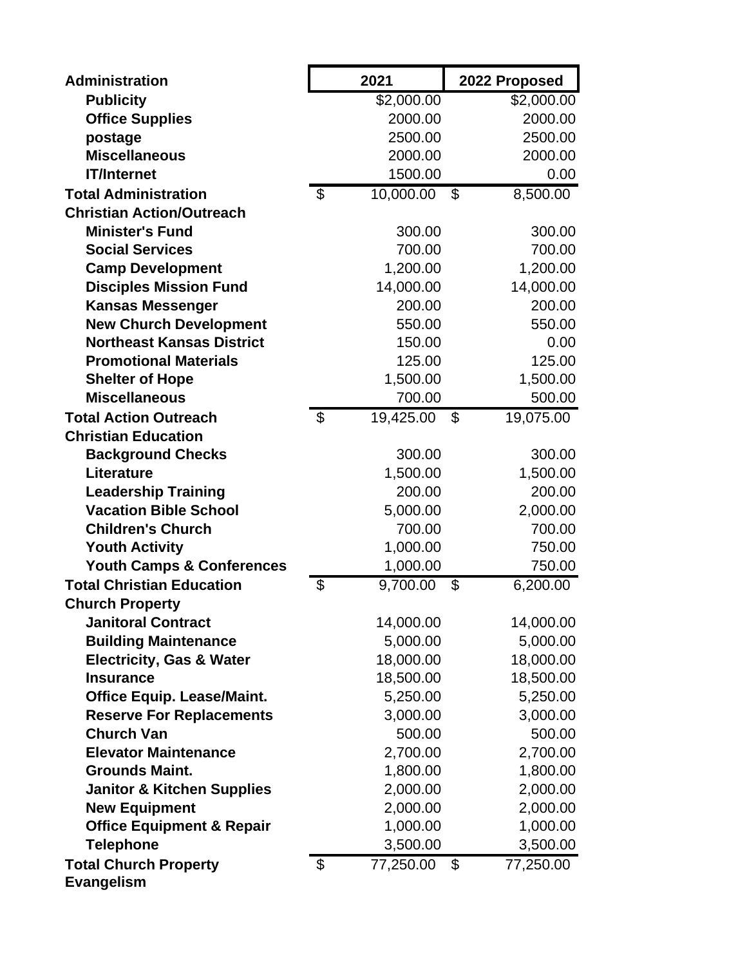| <b>Administration</b>                 |                           | 2021       |                | 2022 Proposed |
|---------------------------------------|---------------------------|------------|----------------|---------------|
| <b>Publicity</b>                      |                           | \$2,000.00 |                | \$2,000.00    |
| <b>Office Supplies</b>                |                           | 2000.00    |                | 2000.00       |
| postage                               |                           | 2500.00    |                | 2500.00       |
| <b>Miscellaneous</b>                  |                           | 2000.00    |                | 2000.00       |
| <b>IT/Internet</b>                    |                           | 1500.00    |                | 0.00          |
| <b>Total Administration</b>           | $\mathfrak{S}$            | 10,000.00  | $\mathfrak{F}$ | 8,500.00      |
| <b>Christian Action/Outreach</b>      |                           |            |                |               |
| <b>Minister's Fund</b>                |                           | 300.00     |                | 300.00        |
| <b>Social Services</b>                |                           | 700.00     |                | 700.00        |
| <b>Camp Development</b>               |                           | 1,200.00   |                | 1,200.00      |
| <b>Disciples Mission Fund</b>         |                           | 14,000.00  |                | 14,000.00     |
| <b>Kansas Messenger</b>               |                           | 200.00     |                | 200.00        |
| <b>New Church Development</b>         |                           | 550.00     |                | 550.00        |
| <b>Northeast Kansas District</b>      |                           | 150.00     |                | 0.00          |
| <b>Promotional Materials</b>          |                           | 125.00     |                | 125.00        |
| <b>Shelter of Hope</b>                |                           | 1,500.00   |                | 1,500.00      |
| <b>Miscellaneous</b>                  |                           | 700.00     |                | 500.00        |
| <b>Total Action Outreach</b>          | $\mathfrak{S}$            | 19,425.00  | \$             | 19,075.00     |
| <b>Christian Education</b>            |                           |            |                |               |
| <b>Background Checks</b>              |                           | 300.00     |                | 300.00        |
| <b>Literature</b>                     |                           | 1,500.00   |                | 1,500.00      |
| <b>Leadership Training</b>            |                           | 200.00     |                | 200.00        |
| <b>Vacation Bible School</b>          |                           | 5,000.00   |                | 2,000.00      |
| <b>Children's Church</b>              |                           | 700.00     |                | 700.00        |
| <b>Youth Activity</b>                 |                           | 1,000.00   |                | 750.00        |
| <b>Youth Camps &amp; Conferences</b>  |                           | 1,000.00   |                | 750.00        |
| <b>Total Christian Education</b>      | \$                        | 9,700.00   | \$             | 6,200.00      |
| <b>Church Property</b>                |                           |            |                |               |
| <b>Janitoral Contract</b>             |                           | 14,000.00  |                | 14,000.00     |
| <b>Building Maintenance</b>           |                           | 5,000.00   |                | 5,000.00      |
| <b>Electricity, Gas &amp; Water</b>   |                           | 18,000.00  |                | 18,000.00     |
| <b>Insurance</b>                      |                           | 18,500.00  |                | 18,500.00     |
| <b>Office Equip. Lease/Maint.</b>     |                           | 5,250.00   |                | 5,250.00      |
| <b>Reserve For Replacements</b>       |                           | 3,000.00   |                | 3,000.00      |
| <b>Church Van</b>                     |                           | 500.00     |                | 500.00        |
| <b>Elevator Maintenance</b>           |                           | 2,700.00   |                | 2,700.00      |
| <b>Grounds Maint.</b>                 |                           | 1,800.00   |                | 1,800.00      |
| <b>Janitor &amp; Kitchen Supplies</b> |                           | 2,000.00   |                | 2,000.00      |
| <b>New Equipment</b>                  |                           | 2,000.00   |                | 2,000.00      |
| <b>Office Equipment &amp; Repair</b>  |                           | 1,000.00   |                | 1,000.00      |
| <b>Telephone</b>                      |                           | 3,500.00   |                | 3,500.00      |
| <b>Total Church Property</b>          | $\boldsymbol{\mathsf{S}}$ | 77,250.00  | \$             | 77,250.00     |
| <b>Evangelism</b>                     |                           |            |                |               |